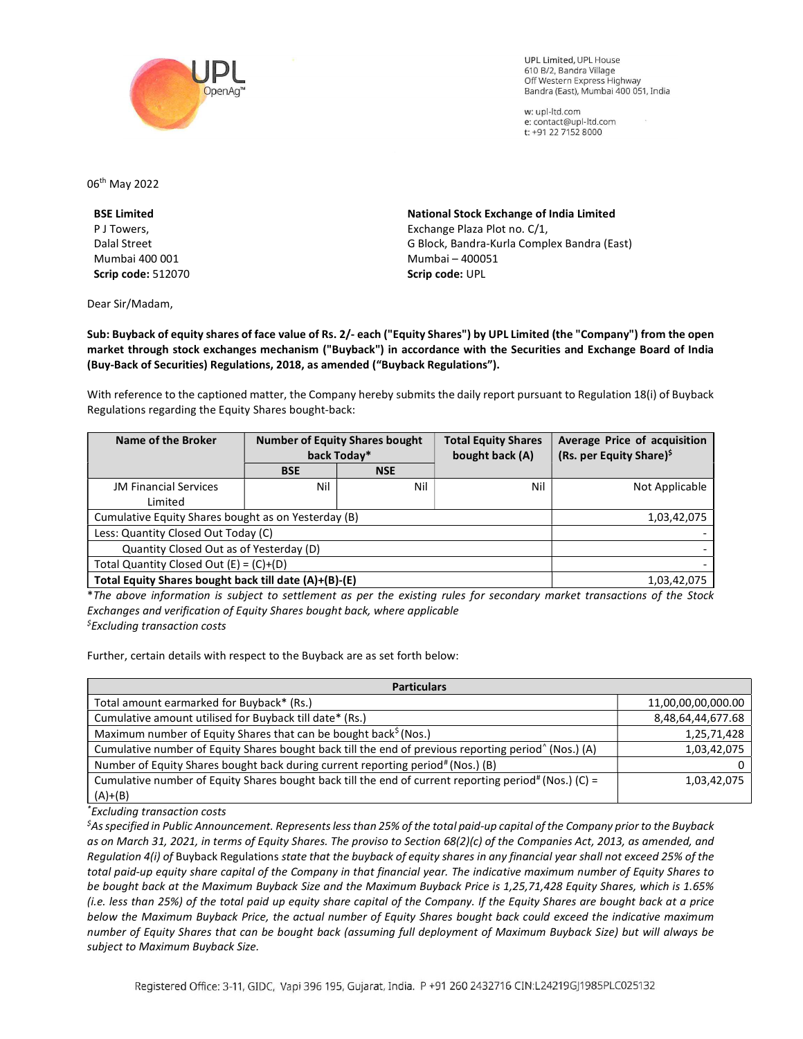

**UPL Limited. UPL House** 610 B/2, Bandra Village Off Western Express Highway Bandra (East), Mumbai 400 051, India

w: upl-ltd.com e: contact@upl-ltd.com t: +91 22 7152 8000

06th May 2022

BSE Limited P J Towers, Dalal Street Mumbai 400 001 Scrip code: 512070

Dear Sir/Madam,

National Stock Exchange of India Limited Exchange Plaza Plot no. C/1, G Block, Bandra-Kurla Complex Bandra (East) Mumbai – 400051 Scrip code: UPL

Sub: Buyback of equity shares of face value of Rs. 2/- each ("Equity Shares") by UPL Limited (the "Company") from the open market through stock exchanges mechanism ("Buyback") in accordance with the Securities and Exchange Board of India (Buy-Back of Securities) Regulations, 2018, as amended ("Buyback Regulations").

With reference to the captioned matter, the Company hereby submits the daily report pursuant to Regulation 18(i) of Buyback Regulations regarding the Equity Shares bought-back:

| Name of the Broker                                    | <b>Number of Equity Shares bought</b><br>back Today* |            | <b>Total Equity Shares</b><br>bought back (A) | Average Price of acquisition<br>(Rs. per Equity Share) <sup>\$</sup> |
|-------------------------------------------------------|------------------------------------------------------|------------|-----------------------------------------------|----------------------------------------------------------------------|
|                                                       | <b>BSE</b>                                           | <b>NSE</b> |                                               |                                                                      |
| <b>JM Financial Services</b>                          | Nil                                                  | Nil        | Nil                                           | Not Applicable                                                       |
| Limited                                               |                                                      |            |                                               |                                                                      |
| Cumulative Equity Shares bought as on Yesterday (B)   |                                                      |            |                                               | 1,03,42,075                                                          |
| Less: Quantity Closed Out Today (C)                   |                                                      |            |                                               |                                                                      |
| Quantity Closed Out as of Yesterday (D)               |                                                      |            |                                               |                                                                      |
| Total Quantity Closed Out $(E) = (C)+(D)$             |                                                      |            |                                               |                                                                      |
| Total Equity Shares bought back till date (A)+(B)-(E) |                                                      |            |                                               | 1,03,42,075                                                          |

\*The above information is subject to settlement as per the existing rules for secondary market transactions of the Stock Exchanges and verification of Equity Shares bought back, where applicable  $<sup>5</sup>$ Excluding transaction costs</sup>

Further, certain details with respect to the Buyback are as set forth below:

| <b>Particulars</b>                                                                                               |                    |  |  |  |
|------------------------------------------------------------------------------------------------------------------|--------------------|--|--|--|
| Total amount earmarked for Buyback* (Rs.)                                                                        | 11,00,00,00,000.00 |  |  |  |
| Cumulative amount utilised for Buyback till date* (Rs.)                                                          | 8,48,64,44,677.68  |  |  |  |
| Maximum number of Equity Shares that can be bought back <sup>\$</sup> (Nos.)                                     | 1,25,71,428        |  |  |  |
| Cumulative number of Equity Shares bought back till the end of previous reporting period <sup>^</sup> (Nos.) (A) | 1,03,42,075        |  |  |  |
| Number of Equity Shares bought back during current reporting period# (Nos.) (B)                                  |                    |  |  |  |
| Cumulative number of Equity Shares bought back till the end of current reporting period# (Nos.) (C) =            | 1,03,42,075        |  |  |  |
| $(A)+(B)$                                                                                                        |                    |  |  |  |

\*Excluding transaction costs

 ${}^5$ As specified in Public Announcement. Represents less than 25% of the total paid-up capital of the Company prior to the Buyback as on March 31, 2021, in terms of Equity Shares. The proviso to Section 68(2)(c) of the Companies Act, 2013, as amended, and Regulation 4(i) of Buyback Regulations state that the buyback of equity shares in any financial year shall not exceed 25% of the total paid-up equity share capital of the Company in that financial year. The indicative maximum number of Equity Shares to be bought back at the Maximum Buyback Size and the Maximum Buyback Price is 1,25,71,428 Equity Shares, which is 1.65% (i.e. less than 25%) of the total paid up equity share capital of the Company. If the Equity Shares are bought back at a price below the Maximum Buyback Price, the actual number of Equity Shares bought back could exceed the indicative maximum number of Equity Shares that can be bought back (assuming full deployment of Maximum Buyback Size) but will always be subject to Maximum Buyback Size.